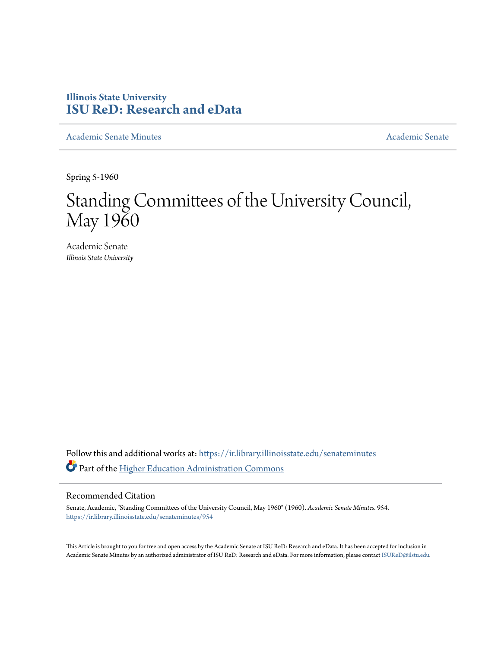## **Illinois State University [ISU ReD: Research and eData](https://ir.library.illinoisstate.edu?utm_source=ir.library.illinoisstate.edu%2Fsenateminutes%2F954&utm_medium=PDF&utm_campaign=PDFCoverPages)**

[Academic Senate Minutes](https://ir.library.illinoisstate.edu/senateminutes?utm_source=ir.library.illinoisstate.edu%2Fsenateminutes%2F954&utm_medium=PDF&utm_campaign=PDFCoverPages) [Academic Senate](https://ir.library.illinoisstate.edu/senate?utm_source=ir.library.illinoisstate.edu%2Fsenateminutes%2F954&utm_medium=PDF&utm_campaign=PDFCoverPages) Academic Senate

Spring 5-1960

## Standing Committees of the University Council, May 1960

Academic Senate *Illinois State University*

Follow this and additional works at: [https://ir.library.illinoisstate.edu/senateminutes](https://ir.library.illinoisstate.edu/senateminutes?utm_source=ir.library.illinoisstate.edu%2Fsenateminutes%2F954&utm_medium=PDF&utm_campaign=PDFCoverPages) Part of the [Higher Education Administration Commons](http://network.bepress.com/hgg/discipline/791?utm_source=ir.library.illinoisstate.edu%2Fsenateminutes%2F954&utm_medium=PDF&utm_campaign=PDFCoverPages)

## Recommended Citation

Senate, Academic, "Standing Committees of the University Council, May 1960" (1960). *Academic Senate Minutes*. 954. [https://ir.library.illinoisstate.edu/senateminutes/954](https://ir.library.illinoisstate.edu/senateminutes/954?utm_source=ir.library.illinoisstate.edu%2Fsenateminutes%2F954&utm_medium=PDF&utm_campaign=PDFCoverPages)

This Article is brought to you for free and open access by the Academic Senate at ISU ReD: Research and eData. It has been accepted for inclusion in Academic Senate Minutes by an authorized administrator of ISU ReD: Research and eData. For more information, please contact [ISUReD@ilstu.edu.](mailto:ISUReD@ilstu.edu)